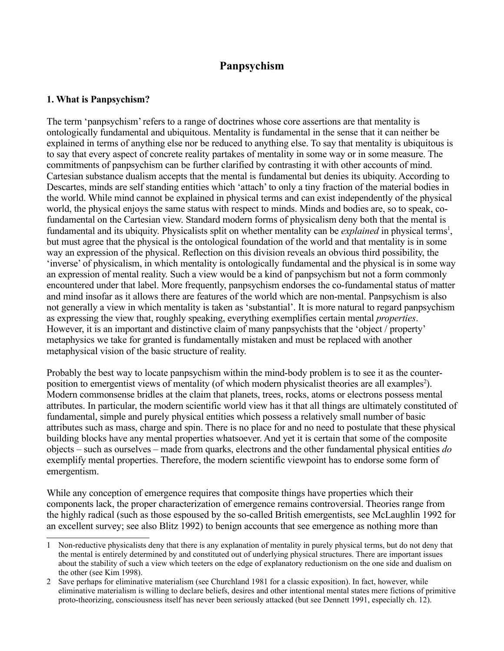# **Panpsychism**

#### **1. What is Panpsychism?**

The term 'panpsychism' refers to a range of doctrines whose core assertions are that mentality is ontologically fundamental and ubiquitous. Mentality is fundamental in the sense that it can neither be explained in terms of anything else nor be reduced to anything else. To say that mentality is ubiquitous is to say that every aspect of concrete reality partakes of mentality in some way or in some measure. The commitments of panpsychism can be further clarified by contrasting it with other accounts of mind. Cartesian substance dualism accepts that the mental is fundamental but denies its ubiquity. According to Descartes, minds are self standing entities which 'attach' to only a tiny fraction of the material bodies in the world. While mind cannot be explained in physical terms and can exist independently of the physical world, the physical enjoys the same status with respect to minds. Minds and bodies are, so to speak, cofundamental on the Cartesian view. Standard modern forms of physicalism deny both that the mental is fundamental and its ubiquity. Physicalists split on whether mentality can be *explained* in physical terms<sup>[1](#page-0-0)</sup>, but must agree that the physical is the ontological foundation of the world and that mentality is in some way an expression of the physical. Reflection on this division reveals an obvious third possibility, the 'inverse' of physicalism, in which mentality is ontologically fundamental and the physical is in some way an expression of mental reality. Such a view would be a kind of panpsychism but not a form commonly encountered under that label. More frequently, panpsychism endorses the co-fundamental status of matter and mind insofar as it allows there are features of the world which are non-mental. Panpsychism is also not generally a view in which mentality is taken as 'substantial'. It is more natural to regard panpsychism as expressing the view that, roughly speaking, everything exemplifies certain mental *properties*. However, it is an important and distinctive claim of many panpsychists that the 'object / property' metaphysics we take for granted is fundamentally mistaken and must be replaced with another metaphysical vision of the basic structure of reality.

Probably the best way to locate panpsychism within the mind-body problem is to see it as the counter-position to emergentist views of mentality (of which modern physicalist theories are all examples<sup>[2](#page-0-1)</sup>). Modern commonsense bridles at the claim that planets, trees, rocks, atoms or electrons possess mental attributes. In particular, the modern scientific world view has it that all things are ultimately constituted of fundamental, simple and purely physical entities which possess a relatively small number of basic attributes such as mass, charge and spin. There is no place for and no need to postulate that these physical building blocks have any mental properties whatsoever. And yet it is certain that some of the composite objects – such as ourselves – made from quarks, electrons and the other fundamental physical entities *do* exemplify mental properties. Therefore, the modern scientific viewpoint has to endorse some form of emergentism.

While any conception of emergence requires that composite things have properties which their components lack, the proper characterization of emergence remains controversial. Theories range from the highly radical (such as those espoused by the so-called British emergentists, see McLaughlin 1992 for an excellent survey; see also Blitz 1992) to benign accounts that see emergence as nothing more than

<span id="page-0-0"></span><sup>1</sup> Non-reductive physicalists deny that there is any explanation of mentality in purely physical terms, but do not deny that the mental is entirely determined by and constituted out of underlying physical structures. There are important issues about the stability of such a view which teeters on the edge of explanatory reductionism on the one side and dualism on the other (see Kim 1998).

<span id="page-0-1"></span><sup>2</sup> Save perhaps for eliminative materialism (see Churchland 1981 for a classic exposition). In fact, however, while eliminative materialism is willing to declare beliefs, desires and other intentional mental states mere fictions of primitive proto-theorizing, consciousness itself has never been seriously attacked (but see Dennett 1991, especially ch. 12).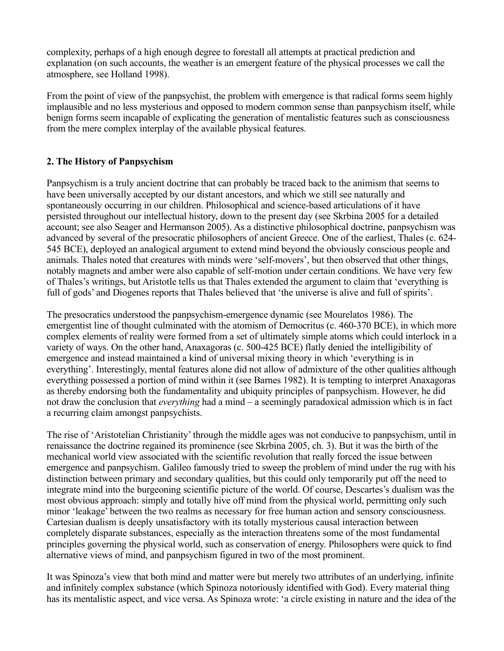complexity, perhaps of a high enough degree to forestall all attempts at practical prediction and explanation (on such accounts, the weather is an emergent feature of the physical processes we call the atmosphere, see Holland 1998).

From the point of view of the panpsychist, the problem with emergence is that radical forms seem highly implausible and no less mysterious and opposed to modern common sense than panpsychism itself, while benign forms seem incapable of explicating the generation of mentalistic features such as consciousness from the mere complex interplay of the available physical features.

# **2. The History of Panpsychism**

Panpsychism is a truly ancient doctrine that can probably be traced back to the animism that seems to have been universally accepted by our distant ancestors, and which we still see naturally and spontaneously occurring in our children. Philosophical and science-based articulations of it have persisted throughout our intellectual history, down to the present day (see Skrbina 2005 for a detailed account; see also Seager and Hermanson 2005). As a distinctive philosophical doctrine, panpsychism was advanced by several of the presocratic philosophers of ancient Greece. One of the earliest, Thales (c. 624- 545 BCE), deployed an analogical argument to extend mind beyond the obviously conscious people and animals. Thales noted that creatures with minds were 'self-movers', but then observed that other things, notably magnets and amber were also capable of self-motion under certain conditions. We have very few of Thales's writings, but Aristotle tells us that Thales extended the argument to claim that 'everything is full of gods' and Diogenes reports that Thales believed that 'the universe is alive and full of spirits'.

The presocratics understood the panpsychism-emergence dynamic (see Mourelatos 1986). The emergentist line of thought culminated with the atomism of Democritus (c. 460-370 BCE), in which more complex elements of reality were formed from a set of ultimately simple atoms which could interlock in a variety of ways. On the other hand, Anaxagoras (c. 500-425 BCE) flatly denied the intelligibility of emergence and instead maintained a kind of universal mixing theory in which 'everything is in everything'. Interestingly, mental features alone did not allow of admixture of the other qualities although everything possessed a portion of mind within it (see Barnes 1982). It is tempting to interpret Anaxagoras as thereby endorsing both the fundamentality and ubiquity principles of panpsychism. However, he did not draw the conclusion that *everything* had a mind – a seemingly paradoxical admission which is in fact a recurring claim amongst panpsychists.

The rise of 'Aristotelian Christianity' through the middle ages was not conducive to panpsychism, until in renaissance the doctrine regained its prominence (see Skrbina 2005, ch. 3). But it was the birth of the mechanical world view associated with the scientific revolution that really forced the issue between emergence and panpsychism. Galileo famously tried to sweep the problem of mind under the rug with his distinction between primary and secondary qualities, but this could only temporarily put off the need to integrate mind into the burgeoning scientific picture of the world. Of course, Descartes's dualism was the most obvious approach: simply and totally hive off mind from the physical world, permitting only such minor 'leakage' between the two realms as necessary for free human action and sensory consciousness. Cartesian dualism is deeply unsatisfactory with its totally mysterious causal interaction between completely disparate substances, especially as the interaction threatens some of the most fundamental principles governing the physical world, such as conservation of energy. Philosophers were quick to find alternative views of mind, and panpsychism figured in two of the most prominent.

It was Spinoza's view that both mind and matter were but merely two attributes of an underlying, infinite and infinitely complex substance (which Spinoza notoriously identified with God). Every material thing has its mentalistic aspect, and vice versa. As Spinoza wrote: 'a circle existing in nature and the idea of the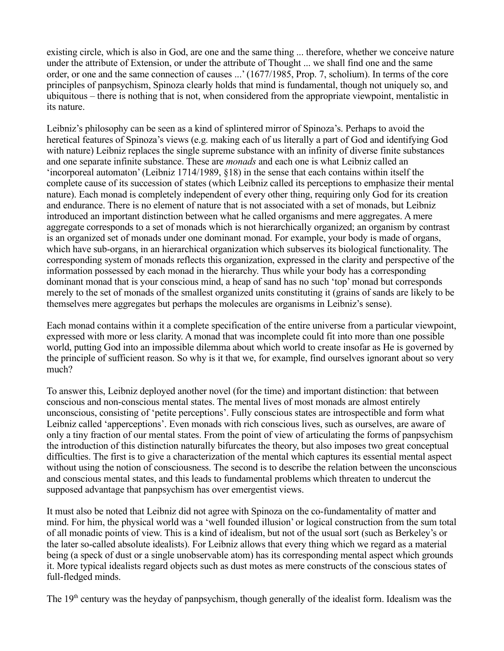existing circle, which is also in God, are one and the same thing ... therefore, whether we conceive nature under the attribute of Extension, or under the attribute of Thought ... we shall find one and the same order, or one and the same connection of causes ...' (1677/1985, Prop. 7, scholium). In terms of the core principles of panpsychism, Spinoza clearly holds that mind is fundamental, though not uniquely so, and ubiquitous – there is nothing that is not, when considered from the appropriate viewpoint, mentalistic in its nature.

Leibniz's philosophy can be seen as a kind of splintered mirror of Spinoza's. Perhaps to avoid the heretical features of Spinoza's views (e.g. making each of us literally a part of God and identifying God with nature) Leibniz replaces the single supreme substance with an infinity of diverse finite substances and one separate infinite substance. These are *monads* and each one is what Leibniz called an 'incorporeal automaton'(Leibniz 1714/1989, §18) in the sense that each contains within itself the complete cause of its succession of states (which Leibniz called its perceptions to emphasize their mental nature). Each monad is completely independent of every other thing, requiring only God for its creation and endurance. There is no element of nature that is not associated with a set of monads, but Leibniz introduced an important distinction between what he called organisms and mere aggregates. A mere aggregate corresponds to a set of monads which is not hierarchically organized; an organism by contrast is an organized set of monads under one dominant monad. For example, your body is made of organs, which have sub-organs, in an hierarchical organization which subserves its biological functionality. The corresponding system of monads reflects this organization, expressed in the clarity and perspective of the information possessed by each monad in the hierarchy. Thus while your body has a corresponding dominant monad that is your conscious mind, a heap of sand has no such 'top' monad but corresponds merely to the set of monads of the smallest organized units constituting it (grains of sands are likely to be themselves mere aggregates but perhaps the molecules are organisms in Leibniz's sense).

Each monad contains within it a complete specification of the entire universe from a particular viewpoint, expressed with more or less clarity. A monad that was incomplete could fit into more than one possible world, putting God into an impossible dilemma about which world to create insofar as He is governed by the principle of sufficient reason. So why is it that we, for example, find ourselves ignorant about so very much?

To answer this, Leibniz deployed another novel (for the time) and important distinction: that between conscious and non-conscious mental states. The mental lives of most monads are almost entirely unconscious, consisting of 'petite perceptions'. Fully conscious states are introspectible and form what Leibniz called 'apperceptions'. Even monads with rich conscious lives, such as ourselves, are aware of only a tiny fraction of our mental states. From the point of view of articulating the forms of panpsychism the introduction of this distinction naturally bifurcates the theory, but also imposes two great conceptual difficulties. The first is to give a characterization of the mental which captures its essential mental aspect without using the notion of consciousness. The second is to describe the relation between the unconscious and conscious mental states, and this leads to fundamental problems which threaten to undercut the supposed advantage that panpsychism has over emergentist views.

It must also be noted that Leibniz did not agree with Spinoza on the co-fundamentality of matter and mind. For him, the physical world was a 'well founded illusion' or logical construction from the sum total of all monadic points of view. This is a kind of idealism, but not of the usual sort (such as Berkeley's or the later so-called absolute idealists). For Leibniz allows that every thing which we regard as a material being (a speck of dust or a single unobservable atom) has its corresponding mental aspect which grounds it. More typical idealists regard objects such as dust motes as mere constructs of the conscious states of full-fledged minds.

The 19<sup>th</sup> century was the heyday of panpsychism, though generally of the idealist form. Idealism was the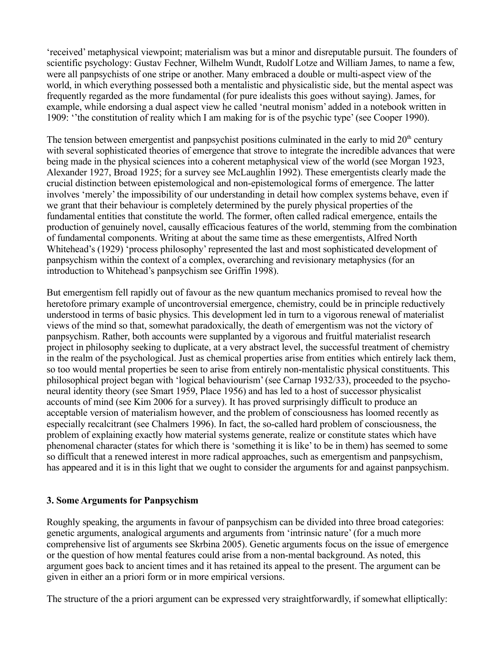'received' metaphysical viewpoint; materialism was but a minor and disreputable pursuit. The founders of scientific psychology: Gustav Fechner, Wilhelm Wundt, Rudolf Lotze and William James, to name a few, were all panpsychists of one stripe or another. Many embraced a double or multi-aspect view of the world, in which everything possessed both a mentalistic and physicalistic side, but the mental aspect was frequently regarded as the more fundamental (for pure idealists this goes without saying). James, for example, while endorsing a dual aspect view he called 'neutral monism' added in a notebook written in 1909: ''the constitution of reality which I am making for is of the psychic type' (see Cooper 1990).

The tension between emergentist and panpsychist positions culminated in the early to mid  $20<sup>th</sup>$  century with several sophisticated theories of emergence that strove to integrate the incredible advances that were being made in the physical sciences into a coherent metaphysical view of the world (see Morgan 1923, Alexander 1927, Broad 1925; for a survey see McLaughlin 1992). These emergentists clearly made the crucial distinction between epistemological and non-epistemological forms of emergence. The latter involves 'merely' the impossibility of our understanding in detail how complex systems behave, even if we grant that their behaviour is completely determined by the purely physical properties of the fundamental entities that constitute the world. The former, often called radical emergence, entails the production of genuinely novel, causally efficacious features of the world, stemming from the combination of fundamental components. Writing at about the same time as these emergentists, Alfred North Whitehead's (1929) 'process philosophy' represented the last and most sophisticated development of panpsychism within the context of a complex, overarching and revisionary metaphysics (for an introduction to Whitehead's panpsychism see Griffin 1998).

But emergentism fell rapidly out of favour as the new quantum mechanics promised to reveal how the heretofore primary example of uncontroversial emergence, chemistry, could be in principle reductively understood in terms of basic physics. This development led in turn to a vigorous renewal of materialist views of the mind so that, somewhat paradoxically, the death of emergentism was not the victory of panpsychism. Rather, both accounts were supplanted by a vigorous and fruitful materialist research project in philosophy seeking to duplicate, at a very abstract level, the successful treatment of chemistry in the realm of the psychological. Just as chemical properties arise from entities which entirely lack them, so too would mental properties be seen to arise from entirely non-mentalistic physical constituents. This philosophical project began with 'logical behaviourism'(see Carnap 1932/33), proceeded to the psychoneural identity theory (see Smart 1959, Place 1956) and has led to a host of successor physicalist accounts of mind (see Kim 2006 for a survey). It has proved surprisingly difficult to produce an acceptable version of materialism however, and the problem of consciousness has loomed recently as especially recalcitrant (see Chalmers 1996). In fact, the so-called hard problem of consciousness, the problem of explaining exactly how material systems generate, realize or constitute states which have phenomenal character (states for which there is 'something it is like'to be in them) has seemed to some so difficult that a renewed interest in more radical approaches, such as emergentism and panpsychism, has appeared and it is in this light that we ought to consider the arguments for and against panpsychism.

### **3. Some Arguments for Panpsychism**

Roughly speaking, the arguments in favour of panpsychism can be divided into three broad categories: genetic arguments, analogical arguments and arguments from 'intrinsic nature' (for a much more comprehensive list of arguments see Skrbina 2005). Genetic arguments focus on the issue of emergence or the question of how mental features could arise from a non-mental background. As noted, this argument goes back to ancient times and it has retained its appeal to the present. The argument can be given in either an a priori form or in more empirical versions.

The structure of the a priori argument can be expressed very straightforwardly, if somewhat elliptically: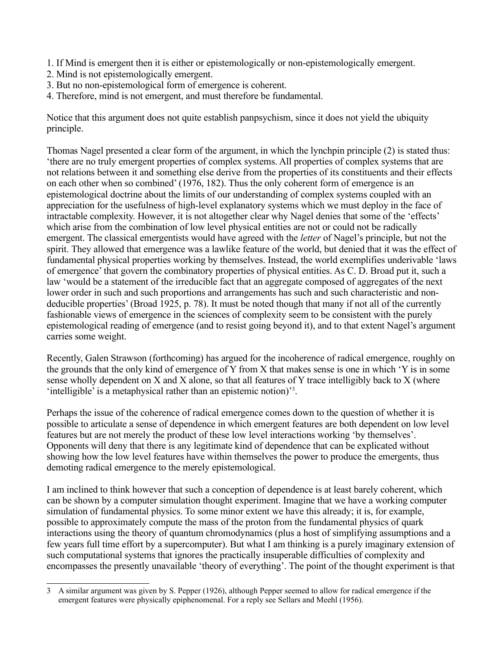- 1. If Mind is emergent then it is either or epistemologically or non-epistemologically emergent.
- 2. Mind is not epistemologically emergent.
- 3. But no non-epistemological form of emergence is coherent.
- 4. Therefore, mind is not emergent, and must therefore be fundamental.

Notice that this argument does not quite establish panpsychism, since it does not yield the ubiquity principle.

Thomas Nagel presented a clear form of the argument, in which the lynchpin principle (2) is stated thus: 'there are no truly emergent properties of complex systems. All properties of complex systems that are not relations between it and something else derive from the properties of its constituents and their effects on each other when so combined' (1976, 182). Thus the only coherent form of emergence is an epistemological doctrine about the limits of our understanding of complex systems coupled with an appreciation for the usefulness of high-level explanatory systems which we must deploy in the face of intractable complexity. However, it is not altogether clear why Nagel denies that some of the 'effects' which arise from the combination of low level physical entities are not or could not be radically emergent. The classical emergentists would have agreed with the *letter* of Nagel's principle, but not the spirit. They allowed that emergence was a lawlike feature of the world, but denied that it was the effect of fundamental physical properties working by themselves. Instead, the world exemplifies underivable 'laws of emergence'that govern the combinatory properties of physical entities. As C. D. Broad put it, such a law 'would be a statement of the irreducible fact that an aggregate composed of aggregates of the next lower order in such and such proportions and arrangements has such and such characteristic and nondeducible properties' (Broad 1925, p. 78). It must be noted though that many if not all of the currently fashionable views of emergence in the sciences of complexity seem to be consistent with the purely epistemological reading of emergence (and to resist going beyond it), and to that extent Nagel's argument carries some weight.

Recently, Galen Strawson (forthcoming) has argued for the incoherence of radical emergence, roughly on the grounds that the only kind of emergence of Y from X that makes sense is one in which 'Y is in some sense wholly dependent on X and X alone, so that all features of Y trace intelligibly back to X (where 'intelligible' is a metaphysical rather than an epistemic notion)'<sup>[3](#page-4-0)</sup>.

Perhaps the issue of the coherence of radical emergence comes down to the question of whether it is possible to articulate a sense of dependence in which emergent features are both dependent on low level features but are not merely the product of these low level interactions working 'by themselves'. Opponents will deny that there is any legitimate kind of dependence that can be explicated without showing how the low level features have within themselves the power to produce the emergents, thus demoting radical emergence to the merely epistemological.

I am inclined to think however that such a conception of dependence is at least barely coherent, which can be shown by a computer simulation thought experiment. Imagine that we have a working computer simulation of fundamental physics. To some minor extent we have this already; it is, for example, possible to approximately compute the mass of the proton from the fundamental physics of quark interactions using the theory of quantum chromodynamics (plus a host of simplifying assumptions and a few years full time effort by a supercomputer). But what I am thinking is a purely imaginary extension of such computational systems that ignores the practically insuperable difficulties of complexity and encompasses the presently unavailable 'theory of everything'. The point of the thought experiment is that

<span id="page-4-0"></span><sup>3</sup> A similar argument was given by S. Pepper (1926), although Pepper seemed to allow for radical emergence if the emergent features were physically epiphenomenal. For a reply see Sellars and Meehl (1956).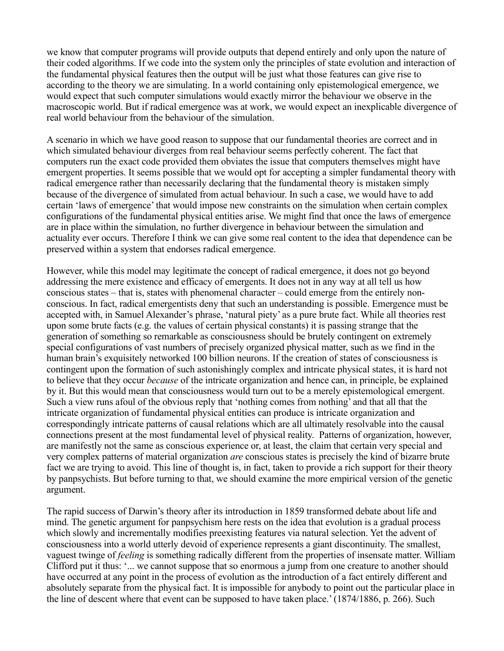we know that computer programs will provide outputs that depend entirely and only upon the nature of their coded algorithms. If we code into the system only the principles of state evolution and interaction of the fundamental physical features then the output will be just what those features can give rise to according to the theory we are simulating. In a world containing only epistemological emergence, we would expect that such computer simulations would exactly mirror the behaviour we observe in the macroscopic world. But if radical emergence was at work, we would expect an inexplicable divergence of real world behaviour from the behaviour of the simulation.

A scenario in which we have good reason to suppose that our fundamental theories are correct and in which simulated behaviour diverges from real behaviour seems perfectly coherent. The fact that computers run the exact code provided them obviates the issue that computers themselves might have emergent properties. It seems possible that we would opt for accepting a simpler fundamental theory with radical emergence rather than necessarily declaring that the fundamental theory is mistaken simply because of the divergence of simulated from actual behaviour. In such a case, we would have to add certain 'laws of emergence' that would impose new constraints on the simulation when certain complex configurations of the fundamental physical entities arise. We might find that once the laws of emergence are in place within the simulation, no further divergence in behaviour between the simulation and actuality ever occurs. Therefore I think we can give some real content to the idea that dependence can be preserved within a system that endorses radical emergence.

However, while this model may legitimate the concept of radical emergence, it does not go beyond addressing the mere existence and efficacy of emergents. It does not in any way at all tell us how conscious states – that is, states with phenomenal character – could emerge from the entirely nonconscious. In fact, radical emergentists deny that such an understanding is possible. Emergence must be accepted with, in Samuel Alexander's phrase, 'natural piety' as a pure brute fact. While all theories rest upon some brute facts (e.g. the values of certain physical constants) it is passing strange that the generation of something so remarkable as consciousness should be brutely contingent on extremely special configurations of vast numbers of precisely organized physical matter, such as we find in the human brain's exquisitely networked 100 billion neurons. If the creation of states of consciousness is contingent upon the formation of such astonishingly complex and intricate physical states, it is hard not to believe that they occur *because* of the intricate organization and hence can, in principle, be explained by it. But this would mean that consciousness would turn out to be a merely epistemological emergent. Such a view runs afoul of the obvious reply that 'nothing comes from nothing' and that all that the intricate organization of fundamental physical entities can produce is intricate organization and correspondingly intricate patterns of causal relations which are all ultimately resolvable into the causal connections present at the most fundamental level of physical reality. Patterns of organization, however, are manifestly not the same as conscious experience or, at least, the claim that certain very special and very complex patterns of material organization *are* conscious states is precisely the kind of bizarre brute fact we are trying to avoid. This line of thought is, in fact, taken to provide a rich support for their theory by panpsychists. But before turning to that, we should examine the more empirical version of the genetic argument.

The rapid success of Darwin's theory after its introduction in 1859 transformed debate about life and mind. The genetic argument for panpsychism here rests on the idea that evolution is a gradual process which slowly and incrementally modifies preexisting features via natural selection. Yet the advent of consciousness into a world utterly devoid of experience represents a giant discontinuity. The smallest, vaguest twinge of *feeling* is something radically different from the properties of insensate matter. William Clifford put it thus: '... we cannot suppose that so enormous a jump from one creature to another should have occurred at any point in the process of evolution as the introduction of a fact entirely different and absolutely separate from the physical fact. It is impossible for anybody to point out the particular place in the line of descent where that event can be supposed to have taken place.' (1874/1886, p. 266). Such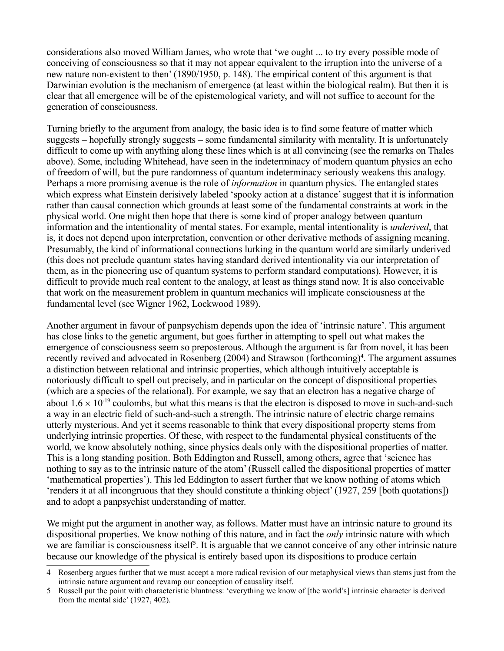considerations also moved William James, who wrote that 'we ought ... to try every possible mode of conceiving of consciousness so that it may not appear equivalent to the irruption into the universe of a new nature non-existent to then' (1890/1950, p. 148). The empirical content of this argument is that Darwinian evolution is the mechanism of emergence (at least within the biological realm). But then it is clear that all emergence will be of the epistemological variety, and will not suffice to account for the generation of consciousness.

Turning briefly to the argument from analogy, the basic idea is to find some feature of matter which suggests – hopefully strongly suggests – some fundamental similarity with mentality. It is unfortunately difficult to come up with anything along these lines which is at all convincing (see the remarks on Thales above). Some, including Whitehead, have seen in the indeterminacy of modern quantum physics an echo of freedom of will, but the pure randomness of quantum indeterminacy seriously weakens this analogy. Perhaps a more promising avenue is the role of *information* in quantum physics. The entangled states which express what Einstein derisively labeled 'spooky action at a distance' suggest that it is information rather than causal connection which grounds at least some of the fundamental constraints at work in the physical world. One might then hope that there is some kind of proper analogy between quantum information and the intentionality of mental states. For example, mental intentionality is *underived*, that is, it does not depend upon interpretation, convention or other derivative methods of assigning meaning. Presumably, the kind of informational connections lurking in the quantum world are similarly underived (this does not preclude quantum states having standard derived intentionality via our interpretation of them, as in the pioneering use of quantum systems to perform standard computations). However, it is difficult to provide much real content to the analogy, at least as things stand now. It is also conceivable that work on the measurement problem in quantum mechanics will implicate consciousness at the fundamental level (see Wigner 1962, Lockwood 1989).

Another argument in favour of panpsychism depends upon the idea of 'intrinsic nature'. This argument has close links to the genetic argument, but goes further in attempting to spell out what makes the emergence of consciousness seem so preposterous. Although the argument is far from novel, it has been recently revived and advocated in Rosenberg (200[4](#page-6-0)) and Strawson (forthcoming)<sup>4</sup>. The argument assumes a distinction between relational and intrinsic properties, which although intuitively acceptable is notoriously difficult to spell out precisely, and in particular on the concept of dispositional properties (which are a species of the relational). For example, we say that an electron has a negative charge of about  $1.6 \times 10^{-19}$  coulombs, but what this means is that the electron is disposed to move in such-and-such a way in an electric field of such-and-such a strength. The intrinsic nature of electric charge remains utterly mysterious. And yet it seems reasonable to think that every dispositional property stems from underlying intrinsic properties. Of these, with respect to the fundamental physical constituents of the world, we know absolutely nothing, since physics deals only with the dispositional properties of matter. This is a long standing position. Both Eddington and Russell, among others, agree that 'science has nothing to say as to the intrinsic nature of the atom'(Russell called the dispositional properties of matter 'mathematical properties'). This led Eddington to assert further that we know nothing of atoms which 'renders it at all incongruous that they should constitute a thinking object' (1927, 259 [both quotations]) and to adopt a panpsychist understanding of matter.

We might put the argument in another way, as follows. Matter must have an intrinsic nature to ground its dispositional properties. We know nothing of this nature, and in fact the *only* intrinsic nature with which we are familiar is consciousness itself<sup>[5](#page-6-1)</sup>. It is arguable that we cannot conceive of any other intrinsic nature because our knowledge of the physical is entirely based upon its dispositions to produce certain

<span id="page-6-0"></span><sup>4</sup> Rosenberg argues further that we must accept a more radical revision of our metaphysical views than stems just from the intrinsic nature argument and revamp our conception of causality itself.

<span id="page-6-1"></span><sup>5</sup> Russell put the point with characteristic bluntness: 'everything we know of [the world's] intrinsic character is derived from the mental side' (1927, 402).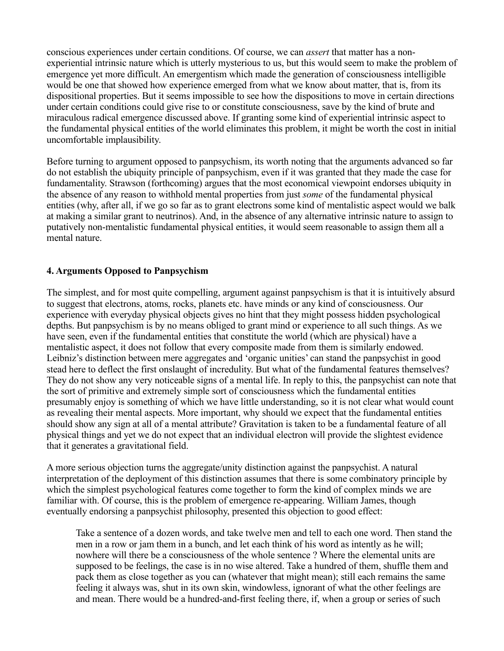conscious experiences under certain conditions. Of course, we can *assert* that matter has a nonexperiential intrinsic nature which is utterly mysterious to us, but this would seem to make the problem of emergence yet more difficult. An emergentism which made the generation of consciousness intelligible would be one that showed how experience emerged from what we know about matter, that is, from its dispositional properties. But it seems impossible to see how the dispositions to move in certain directions under certain conditions could give rise to or constitute consciousness, save by the kind of brute and miraculous radical emergence discussed above. If granting some kind of experiential intrinsic aspect to the fundamental physical entities of the world eliminates this problem, it might be worth the cost in initial uncomfortable implausibility.

Before turning to argument opposed to panpsychism, its worth noting that the arguments advanced so far do not establish the ubiquity principle of panpsychism, even if it was granted that they made the case for fundamentality. Strawson (forthcoming) argues that the most economical viewpoint endorses ubiquity in the absence of any reason to withhold mental properties from just *some* of the fundamental physical entities (why, after all, if we go so far as to grant electrons some kind of mentalistic aspect would we balk at making a similar grant to neutrinos). And, in the absence of any alternative intrinsic nature to assign to putatively non-mentalistic fundamental physical entities, it would seem reasonable to assign them all a mental nature.

## **4. Arguments Opposed to Panpsychism**

The simplest, and for most quite compelling, argument against panpsychism is that it is intuitively absurd to suggest that electrons, atoms, rocks, planets etc. have minds or any kind of consciousness. Our experience with everyday physical objects gives no hint that they might possess hidden psychological depths. But panpsychism is by no means obliged to grant mind or experience to all such things. As we have seen, even if the fundamental entities that constitute the world (which are physical) have a mentalistic aspect, it does not follow that every composite made from them is similarly endowed. Leibniz's distinction between mere aggregates and 'organic unities' can stand the panpsychist in good stead here to deflect the first onslaught of incredulity. But what of the fundamental features themselves? They do not show any very noticeable signs of a mental life. In reply to this, the panpsychist can note that the sort of primitive and extremely simple sort of consciousness which the fundamental entities presumably enjoy is something of which we have little understanding, so it is not clear what would count as revealing their mental aspects. More important, why should we expect that the fundamental entities should show any sign at all of a mental attribute? Gravitation is taken to be a fundamental feature of all physical things and yet we do not expect that an individual electron will provide the slightest evidence that it generates a gravitational field.

A more serious objection turns the aggregate/unity distinction against the panpsychist. A natural interpretation of the deployment of this distinction assumes that there is some combinatory principle by which the simplest psychological features come together to form the kind of complex minds we are familiar with. Of course, this is the problem of emergence re-appearing. William James, though eventually endorsing a panpsychist philosophy, presented this objection to good effect:

Take a sentence of a dozen words, and take twelve men and tell to each one word. Then stand the men in a row or jam them in a bunch, and let each think of his word as intently as he will; nowhere will there be a consciousness of the whole sentence ? Where the elemental units are supposed to be feelings, the case is in no wise altered. Take a hundred of them, shuffle them and pack them as close together as you can (whatever that might mean); still each remains the same feeling it always was, shut in its own skin, windowless, ignorant of what the other feelings are and mean. There would be a hundred-and-first feeling there, if, when a group or series of such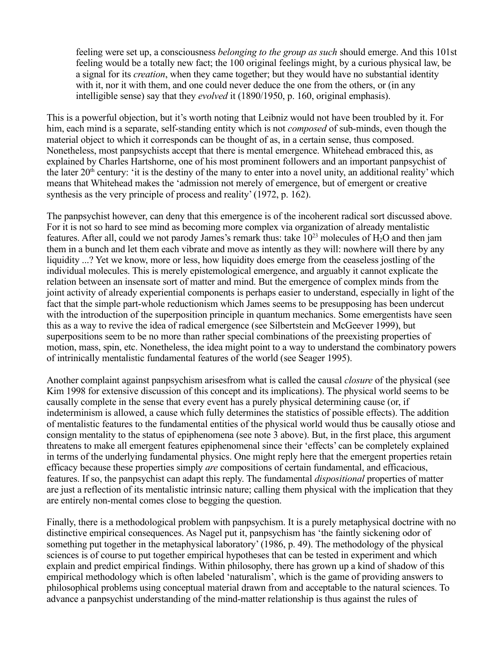feeling were set up, a consciousness *belonging to the group as such* should emerge. And this 101st feeling would be a totally new fact; the 100 original feelings might, by a curious physical law, be a signal for its *creation*, when they came together; but they would have no substantial identity with it, nor it with them, and one could never deduce the one from the others, or (in any intelligible sense) say that they *evolved* it (1890/1950, p. 160, original emphasis).

This is a powerful objection, but it's worth noting that Leibniz would not have been troubled by it. For him, each mind is a separate, self-standing entity which is not *composed* of sub-minds, even though the material object to which it corresponds can be thought of as, in a certain sense, thus composed. Nonetheless, most panpsychists accept that there is mental emergence. Whitehead embraced this, as explained by Charles Hartshorne, one of his most prominent followers and an important panpsychist of the later 20<sup>th</sup> century: 'it is the destiny of the many to enter into a novel unity, an additional reality' which means that Whitehead makes the 'admission not merely of emergence, but of emergent or creative synthesis as the very principle of process and reality' (1972, p. 162).

The panpsychist however, can deny that this emergence is of the incoherent radical sort discussed above. For it is not so hard to see mind as becoming more complex via organization of already mentalistic features. After all, could we not parody James's remark thus: take  $10^{23}$  molecules of  $H_2O$  and then jam them in a bunch and let them each vibrate and move as intently as they will: nowhere will there by any liquidity ...? Yet we know, more or less, how liquidity does emerge from the ceaseless jostling of the individual molecules. This is merely epistemological emergence, and arguably it cannot explicate the relation between an insensate sort of matter and mind. But the emergence of complex minds from the joint activity of already experiential components is perhaps easier to understand, especially in light of the fact that the simple part-whole reductionism which James seems to be presupposing has been undercut with the introduction of the superposition principle in quantum mechanics. Some emergentists have seen this as a way to revive the idea of radical emergence (see Silbertstein and McGeever 1999), but superpositions seem to be no more than rather special combinations of the preexisting properties of motion, mass, spin, etc. Nonetheless, the idea might point to a way to understand the combinatory powers of intrinically mentalistic fundamental features of the world (see Seager 1995).

Another complaint against panpsychism arisesfrom what is called the causal *closure* of the physical (see Kim 1998 for extensive discussion of this concept and its implications). The physical world seems to be causally complete in the sense that every event has a purely physical determining cause (or, if indeterminism is allowed, a cause which fully determines the statistics of possible effects). The addition of mentalistic features to the fundamental entities of the physical world would thus be causally otiose and consign mentality to the status of epiphenomena (see note 3 above). But, in the first place, this argument threatens to make all emergent features epiphenomenal since their 'effects' can be completely explained in terms of the underlying fundamental physics. One might reply here that the emergent properties retain efficacy because these properties simply *are* compositions of certain fundamental, and efficacious, features. If so, the panpsychist can adapt this reply. The fundamental *dispositional* properties of matter are just a reflection of its mentalistic intrinsic nature; calling them physical with the implication that they are entirely non-mental comes close to begging the question.

Finally, there is a methodological problem with panpsychism. It is a purely metaphysical doctrine with no distinctive empirical consequences. As Nagel put it, panpsychism has 'the faintly sickening odor of something put together in the metaphysical laboratory' (1986, p. 49). The methodology of the physical sciences is of course to put together empirical hypotheses that can be tested in experiment and which explain and predict empirical findings. Within philosophy, there has grown up a kind of shadow of this empirical methodology which is often labeled 'naturalism', which is the game of providing answers to philosophical problems using conceptual material drawn from and acceptable to the natural sciences. To advance a panpsychist understanding of the mind-matter relationship is thus against the rules of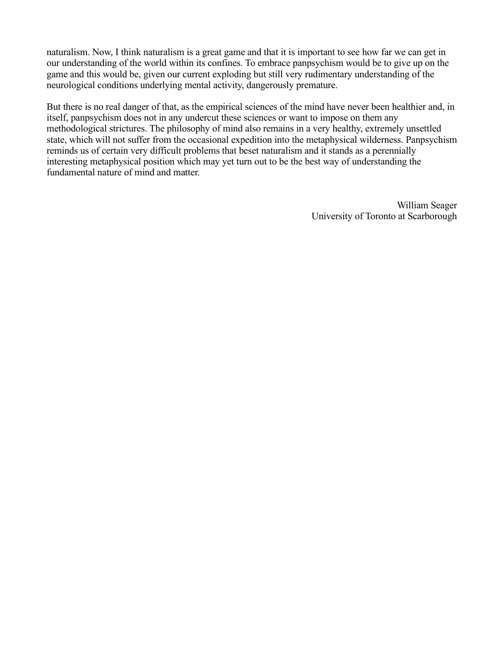naturalism. Now, I think naturalism is a great game and that it is important to see how far we can get in our understanding of the world within its confines. To embrace panpsychism would be to give up on the game and this would be, given our current exploding but still very rudimentary understanding of the neurological conditions underlying mental activity, dangerously premature.

But there is no real danger of that, as the empirical sciences of the mind have never been healthier and, in itself, panpsychism does not in any undercut these sciences or want to impose on them any methodological strictures. The philosophy of mind also remains in a very healthy, extremely unsettled state, which will not suffer from the occasional expedition into the metaphysical wilderness. Panpsychism reminds us of certain very difficult problems that beset naturalism and it stands as a perennially interesting metaphysical position which may yet turn out to be the best way of understanding the fundamental nature of mind and matter.

> William Seager University of Toronto at Scarborough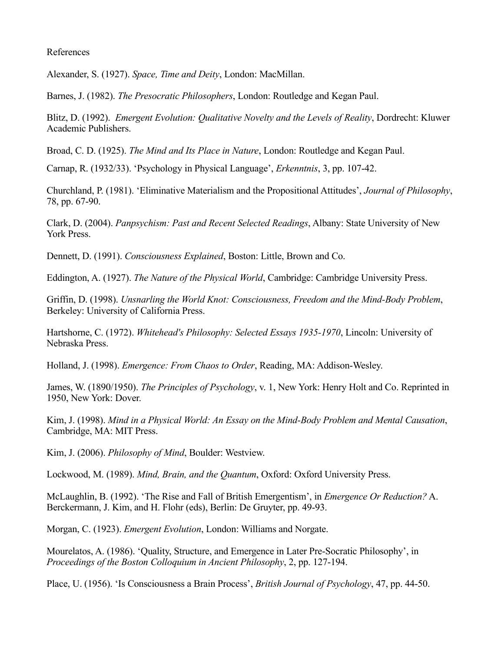#### References

Alexander, S. (1927). *Space, Time and Deity*, London: MacMillan.

Barnes, J. (1982). *The Presocratic Philosophers*, London: Routledge and Kegan Paul.

Blitz, D. (1992). *Emergent Evolution: Qualitative Novelty and the Levels of Reality*, Dordrecht: Kluwer Academic Publishers.

Broad, C. D. (1925). *The Mind and Its Place in Nature*, London: Routledge and Kegan Paul.

Carnap, R. (1932/33). 'Psychology in Physical Language', *Erkenntnis*, 3, pp. 107-42.

Churchland, P. (1981). 'Eliminative Materialism and the Propositional Attitudes', *Journal of Philosophy*, 78, pp. 67-90.

Clark, D. (2004). *Panpsychism: Past and Recent Selected Readings*, Albany: State University of New York Press.

Dennett, D. (1991). *Consciousness Explained*, Boston: Little, Brown and Co.

Eddington, A. (1927). *The Nature of the Physical World*, Cambridge: Cambridge University Press.

Griffin, D. (1998). *Unsnarling the World Knot: Consciousness, Freedom and the Mind-Body Problem*, Berkeley: University of California Press.

Hartshorne, C. (1972). *Whitehead's Philosophy: Selected Essays 1935-1970*, Lincoln: University of Nebraska Press.

Holland, J. (1998). *Emergence: From Chaos to Order*, Reading, MA: Addison-Wesley.

James, W. (1890/1950). *The Principles of Psychology*, v. 1, New York: Henry Holt and Co. Reprinted in 1950, New York: Dover.

Kim, J. (1998). *Mind in a Physical World: An Essay on the Mind-Body Problem and Mental Causation*, Cambridge, MA: MIT Press.

Kim, J. (2006). *Philosophy of Mind*, Boulder: Westview.

Lockwood, M. (1989). *Mind, Brain, and the Quantum*, Oxford: Oxford University Press.

McLaughlin, B. (1992). 'The Rise and Fall of British Emergentism', in *Emergence Or Reduction?* A. Berckermann, J. Kim, and H. Flohr (eds), Berlin: De Gruyter, pp. 49-93.

Morgan, C. (1923). *Emergent Evolution*, London: Williams and Norgate.

Mourelatos, A. (1986). 'Quality, Structure, and Emergence in Later Pre-Socratic Philosophy', in *Proceedings of the Boston Colloquium in Ancient Philosophy*, 2, pp. 127-194.

Place, U. (1956). 'Is Consciousness a Brain Process', *British Journal of Psychology*, 47, pp. 44-50.